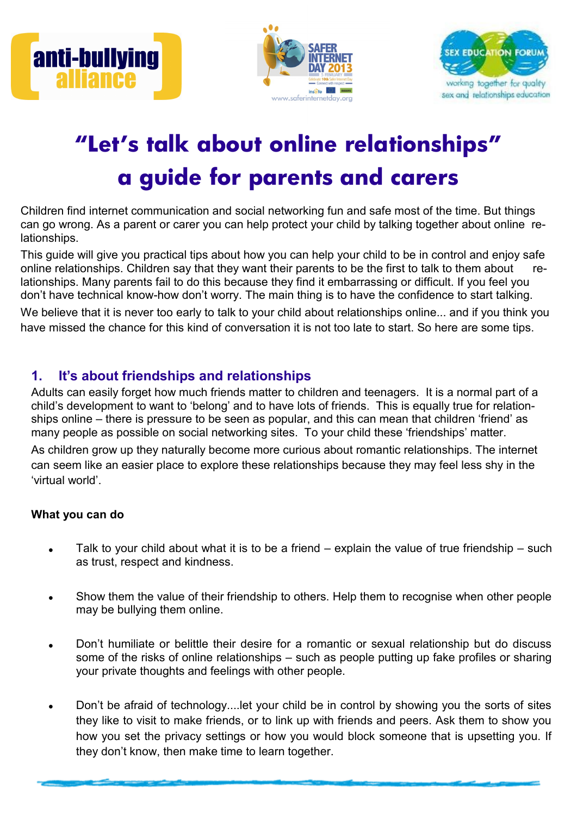





# **"Let's talk about online relationships" a guide for parents and carers**

Children find internet communication and social networking fun and safe most of the time. But things can go wrong. As a parent or carer you can help protect your child by talking together about online relationships.

This guide will give you practical tips about how you can help your child to be in control and enjoy safe online relationships. Children say that they want their parents to be the first to talk to them about relationships. Many parents fail to do this because they find it embarrassing or difficult. If you feel you don't have technical know-how don't worry. The main thing is to have the confidence to start talking.

We believe that it is never too early to talk to your child about relationships online... and if you think you have missed the chance for this kind of conversation it is not too late to start. So here are some tips.

# **1. It's about friendships and relationships**

Adults can easily forget how much friends matter to children and teenagers. It is a normal part of a child's development to want to 'belong' and to have lots of friends. This is equally true for relationships online – there is pressure to be seen as popular, and this can mean that children 'friend' as many people as possible on social networking sites. To your child these 'friendships' matter. As children grow up they naturally become more curious about romantic relationships. The internet can seem like an easier place to explore these relationships because they may feel less shy in the 'virtual world'.

## **What you can do**

- Talk to your child about what it is to be a friend explain the value of true friendship such as trust, respect and kindness.
- Show them the value of their friendship to others. Help them to recognise when other people may be bullying them online.
- Don't humiliate or belittle their desire for a romantic or sexual relationship but do discuss some of the risks of online relationships – such as people putting up fake profiles or sharing your private thoughts and feelings with other people.
- Don't be afraid of technology....let your child be in control by showing you the sorts of sites they like to visit to make friends, or to link up with friends and peers. Ask them to show you how you set the privacy settings or how you would block someone that is upsetting you. If they don't know, then make time to learn together.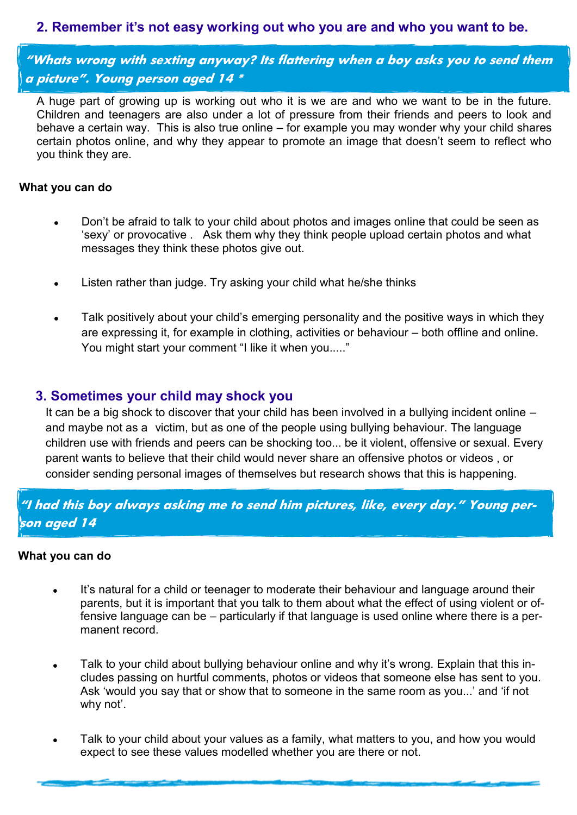# **2. Remember it's not easy working out who you are and who you want to be.**

**"Whats wrong with sexting anyway? Its flattering when a boy asks you to send them a picture". Young person aged 14 \***

A huge part of growing up is working out who it is we are and who we want to be in the future. Children and teenagers are also under a lot of pressure from their friends and peers to look and behave a certain way. This is also true online – for example you may wonder why your child shares certain photos online, and why they appear to promote an image that doesn't seem to reflect who you think they are.

#### **What you can do**

- Don't be afraid to talk to your child about photos and images online that could be seen as 'sexy' or provocative . Ask them why they think people upload certain photos and what messages they think these photos give out.
- Listen rather than judge. Try asking your child what he/she thinks  $\bullet$
- Talk positively about your child's emerging personality and the positive ways in which they are expressing it, for example in clothing, activities or behaviour – both offline and online. You might start your comment "I like it when you....."

## **3. Sometimes your child may shock you**

It can be a big shock to discover that your child has been involved in a bullying incident online – and maybe not as a victim, but as one of the people using bullying behaviour. The language children use with friends and peers can be shocking too... be it violent, offensive or sexual. Every parent wants to believe that their child would never share an offensive photos or videos , or consider sending personal images of themselves but research shows that this is happening.

**"I had this boy always asking me to send him pictures, like, every day." Young person aged 14**

#### **What you can do**

- It's natural for a child or teenager to moderate their behaviour and language around their parents, but it is important that you talk to them about what the effect of using violent or offensive language can be – particularly if that language is used online where there is a permanent record.
- Talk to your child about bullying behaviour online and why it's wrong. Explain that this includes passing on hurtful comments, photos or videos that someone else has sent to you. Ask 'would you say that or show that to someone in the same room as you...' and 'if not why not'.
- Talk to your child about your values as a family, what matters to you, and how you would expect to see these values modelled whether you are there or not.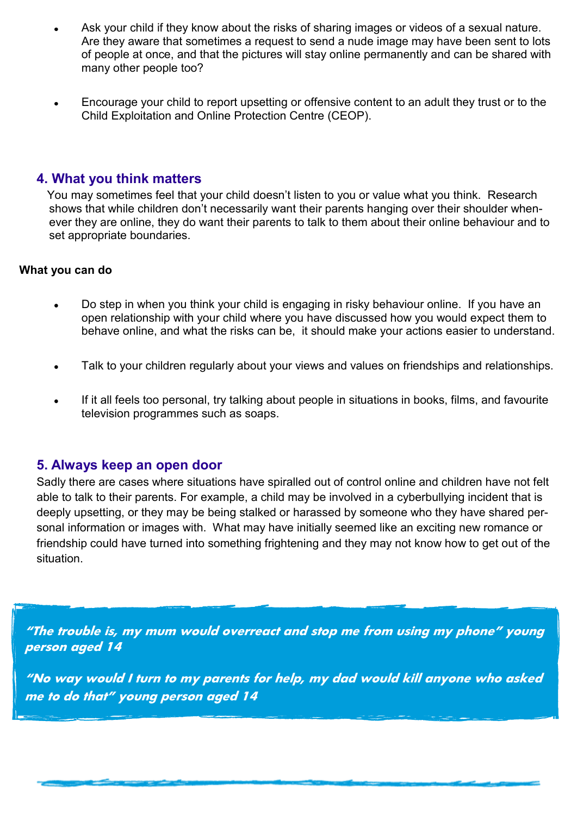- Ask your child if they know about the risks of sharing images or videos of a sexual nature. Are they aware that sometimes a request to send a nude image may have been sent to lots of people at once, and that the pictures will stay online permanently and can be shared with many other people too?
- Encourage your child to report upsetting or offensive content to an adult they trust or to the Child Exploitation and Online Protection Centre (CEOP).

## **4. What you think matters**

You may sometimes feel that your child doesn't listen to you or value what you think. Research shows that while children don't necessarily want their parents hanging over their shoulder whenever they are online, they do want their parents to talk to them about their online behaviour and to set appropriate boundaries.

#### **What you can do**

- Do step in when you think your child is engaging in risky behaviour online. If you have an open relationship with your child where you have discussed how you would expect them to behave online, and what the risks can be, it should make your actions easier to understand.
- Talk to your children regularly about your views and values on friendships and relationships.
- If it all feels too personal, try talking about people in situations in books, films, and favourite television programmes such as soaps.

## **5. Always keep an open door**

Sadly there are cases where situations have spiralled out of control online and children have not felt able to talk to their parents. For example, a child may be involved in a cyberbullying incident that is deeply upsetting, or they may be being stalked or harassed by someone who they have shared personal information or images with. What may have initially seemed like an exciting new romance or friendship could have turned into something frightening and they may not know how to get out of the situation.

**"The trouble is, my mum would overreact and stop me from using my phone" young person aged 14**

**"No way would I turn to my parents for help, my dad would kill anyone who asked me to do that" young person aged 14**